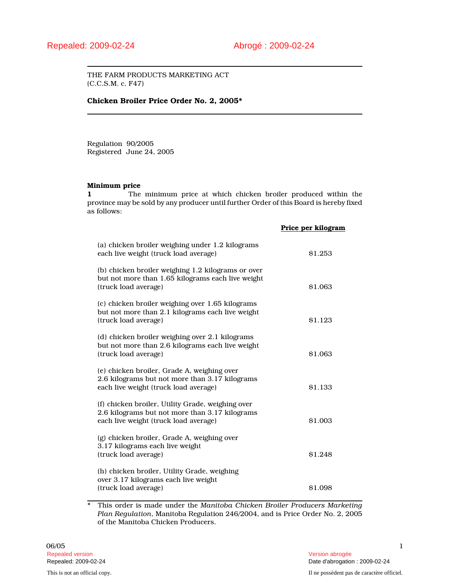THE FARM PRODUCTS MARKETING ACT (C.C.S.M. c. F47)

#### **Chicken Broiler Price Order No. 2, 2005\***

Regulation 90/2005 Registered June 24, 2005

## **Minimum price**

**1** The minimum price at which chicken broiler produced within the province may be sold by any producer until further Order of this Board is hereby fixed as follows:

|                                                                                                                                              | Price per kilogram |
|----------------------------------------------------------------------------------------------------------------------------------------------|--------------------|
| (a) chicken broiler weighing under 1.2 kilograms<br>each live weight (truck load average)                                                    | \$1.253            |
| (b) chicken broiler weighing 1.2 kilograms or over<br>but not more than 1.65 kilograms each live weight<br>(truck load average)              | \$1.063            |
| (c) chicken broiler weighing over 1.65 kilograms<br>but not more than 2.1 kilograms each live weight<br>(truck load average)                 | \$1.123            |
| (d) chicken broiler weighing over 2.1 kilograms<br>but not more than 2.6 kilograms each live weight<br>(truck load average)                  | \$1.063            |
| (e) chicken broiler, Grade A, weighing over<br>2.6 kilograms but not more than 3.17 kilograms<br>each live weight (truck load average)       | \$1.133            |
| (f) chicken broiler, Utility Grade, weighing over<br>2.6 kilograms but not more than 3.17 kilograms<br>each live weight (truck load average) | \$1.003            |
| (g) chicken broiler, Grade A, weighing over<br>3.17 kilograms each live weight<br>(truck load average)                                       | \$1.248            |
| (h) chicken broiler, Utility Grade, weighing<br>over 3.17 kilograms each live weight<br>(truck load average)                                 | \$1.098            |

\* This order is made under the *Manitoba Chicken Broiler Producers Marketing Plan Regulation*, Manitoba Regulation 246/2004, and is Price Order No. 2, 2005 of the Manitoba Chicken Producers.